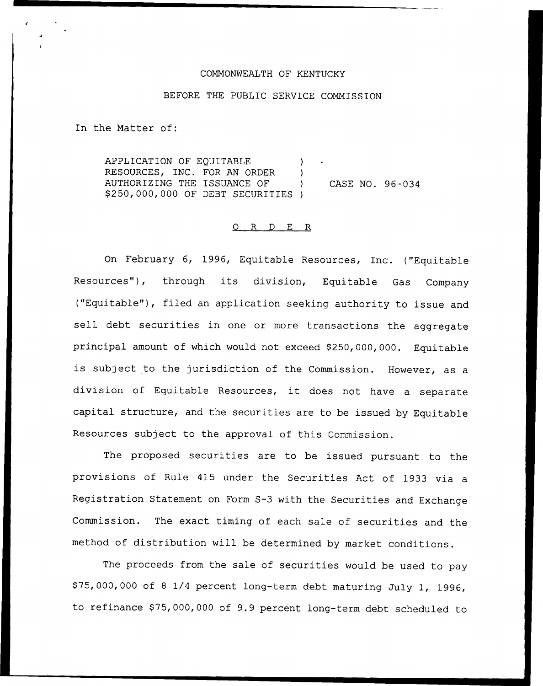## COMMONWEALTH OF KENTUCKY

## BEFORE THE PUBLIC SERVICE COMMISSION

In the Matter of:

APPLICATION OF EQUITABLE ) RESOURCES, INC. FOR AN ORDER ) AUTHORIZING THE ISSUANCE OF ) \$ 250,000,000 OF DEBT SECURITIES ) CASE NO. 96-034

## 0 R <sup>D</sup> E R

On February 6, 1996, Equitable Resources, Inc. ("Equitable Resources"), through its division, Equitable Gas Company {"Equitable"), filed an application seeking authority to issue and sell debt securities in one or more transactions the aggregate principal amount of which would not exceed \$250, 000, 000. Equitable is subject to the jurisdiction of the Commission. However, as <sup>a</sup> division of Equitable Resources, it does not have <sup>a</sup> separate capital structure, and the securities are to be issued by Equitable Resources subject to the approval of this Commission.

The proposed securities are to be issued pursuant to the provisions of Rule 415 under the Securities Act of 1933 via a Registration Statement on Form S-3 with the Securities and Exchange Commission. The exact timing of each sale of securities and the method of distribution will be determined by market conditions.

The proceeds from the sale of securities would be used to pay \$ 75,000,000 of <sup>8</sup> I/4 percent long-term debt maturing July 1, 1996, to refinance \$75,000,000 of 9.9 percent long-term debt scheduled to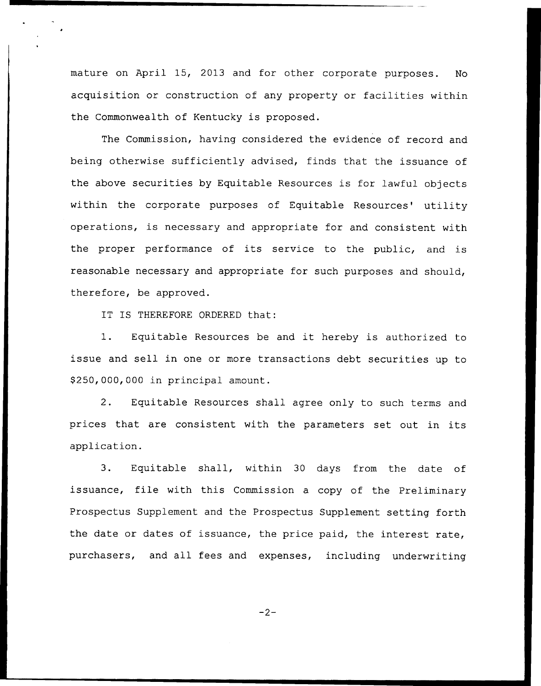mature on April 15, 2013 and for other corporate purposes. No acquisition or construction of any property or facilities within the Commonwealth of Kentucky is proposed.

The Commission, having considered the evidence of record and being otherwise sufficiently advised, finds that the issuance of the above securities by Equitable Resources is for lawful objects within the corporate purposes of Equitable Resources' utility operations, is necessary and appropriate for and consistent with the proper performance of its service to the public, and is reasonable necessary and appropriate for such purposes and should, therefore, be approved.

IT IS THEREFORE ORDERED that:

1. Equitable Resources be and it hereby is authorized to issue and sell in one or more transactions debt securities up to \$ 250,000,000 in principal amount.

2. Equitable Resources shall agree only to such terms and prices that are consistent with the parameters set out in its application.

3. Equitable shall, within <sup>30</sup> days from the date of issuance, file with this Commission <sup>a</sup> copy of the Preliminary Prospectus Supplement and the Prospectus Supplement setting forth the date or dates of issuance, the price paid, the interest rate, purchasers, and all fees and expenses, including underwriting

 $-2-$